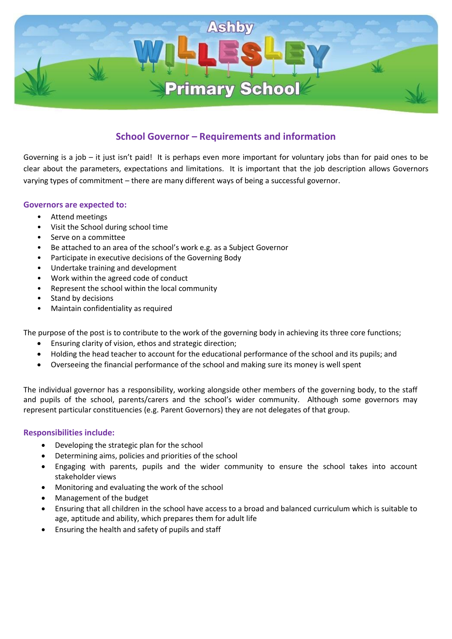

# **School Governor – Requirements and information**

Governing is a job – it just isn't paid! It is perhaps even more important for voluntary jobs than for paid ones to be clear about the parameters, expectations and limitations. It is important that the job description allows Governors varying types of commitment – there are many different ways of being a successful governor.

# **Governors are expected to:**

- Attend meetings
- Visit the School during school time
- Serve on a committee
- Be attached to an area of the school's work e.g. as a Subject Governor
- Participate in executive decisions of the Governing Body
- Undertake training and development
- Work within the agreed code of conduct
- Represent the school within the local community
- Stand by decisions
- Maintain confidentiality as required

The purpose of the post is to contribute to the work of the governing body in achieving its three core functions;

- Ensuring clarity of vision, ethos and strategic direction;
- Holding the head teacher to account for the educational performance of the school and its pupils; and
- Overseeing the financial performance of the school and making sure its money is well spent

The individual governor has a responsibility, working alongside other members of the governing body, to the staff and pupils of the school, parents/carers and the school's wider community. Although some governors may represent particular constituencies (e.g. Parent Governors) they are not delegates of that group.

# **Responsibilities include:**

- Developing the strategic plan for the school
- Determining aims, policies and priorities of the school
- Engaging with parents, pupils and the wider community to ensure the school takes into account stakeholder views
- Monitoring and evaluating the work of the school
- Management of the budget
- Ensuring that all children in the school have access to a broad and balanced curriculum which is suitable to age, aptitude and ability, which prepares them for adult life
- Ensuring the health and safety of pupils and staff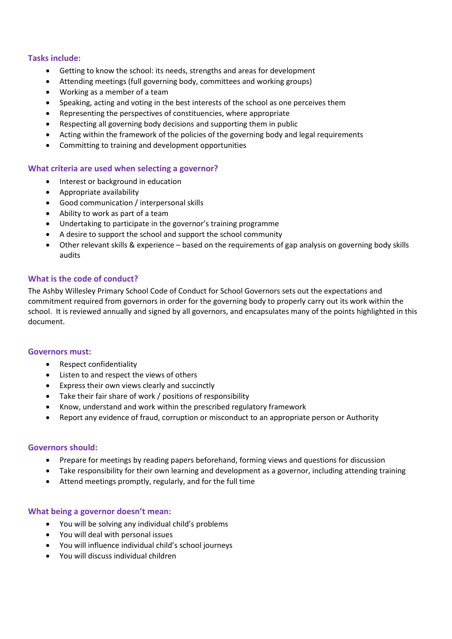# **Tasks include:**

- Getting to know the school: its needs, strengths and areas for development
- Attending meetings (full governing body, committees and working groups)
- Working as a member of a team
- Speaking, acting and voting in the best interests of the school as one perceives them
- Representing the perspectives of constituencies, where appropriate
- Respecting all governing body decisions and supporting them in public
- Acting within the framework of the policies of the governing body and legal requirements
- Committing to training and development opportunities

## **What criteria are used when selecting a governor?**

- Interest or background in education
- Appropriate availability
- Good communication / interpersonal skills
- Ability to work as part of a team
- Undertaking to participate in the governor's training programme
- A desire to support the school and support the school community
- Other relevant skills & experience based on the requirements of gap analysis on governing body skills audits

# **What is the code of conduct?**

The Ashby Willesley Primary School Code of Conduct for School Governors sets out the expectations and commitment required from governors in order for the governing body to properly carry out its work within the school. It is reviewed annually and signed by all governors, and encapsulates many of the points highlighted in this document.

## **Governors must:**

- Respect confidentiality
- Listen to and respect the views of others
- Express their own views clearly and succinctly
- Take their fair share of work / positions of responsibility
- Know, understand and work within the prescribed regulatory framework
- Report any evidence of fraud, corruption or misconduct to an appropriate person or Authority

## **Governors should:**

- Prepare for meetings by reading papers beforehand, forming views and questions for discussion
- Take responsibility for their own learning and development as a governor, including attending training
- Attend meetings promptly, regularly, and for the full time

## **What being a governor doesn't mean:**

- You will be solving any individual child's problems
- You will deal with personal issues
- You will influence individual child's school journeys
- You will discuss individual children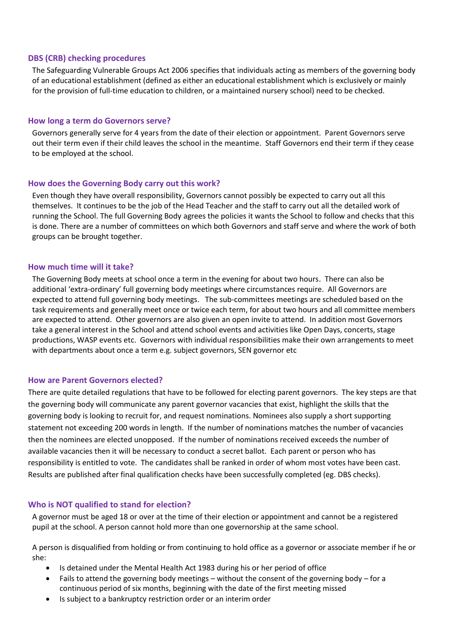## **DBS (CRB) checking procedures**

The Safeguarding Vulnerable Groups Act 2006 specifies that individuals acting as members of the governing body of an educational establishment (defined as either an educational establishment which is exclusively or mainly for the provision of full-time education to children, or a maintained nursery school) need to be checked.

## **How long a term do Governors serve?**

Governors generally serve for 4 years from the date of their election or appointment. Parent Governors serve out their term even if their child leaves the school in the meantime. Staff Governors end their term if they cease to be employed at the school.

## **How does the Governing Body carry out this work?**

Even though they have overall responsibility, Governors cannot possibly be expected to carry out all this themselves. It continues to be the job of the Head Teacher and the staff to carry out all the detailed work of running the School. The full Governing Body agrees the policies it wants the School to follow and checks that this is done. There are a number of committees on which both Governors and staff serve and where the work of both groups can be brought together.

## **How much time will it take?**

The Governing Body meets at school once a term in the evening for about two hours. There can also be additional 'extra-ordinary' full governing body meetings where circumstances require. All Governors are expected to attend full governing body meetings. The sub-committees meetings are scheduled based on the task requirements and generally meet once or twice each term, for about two hours and all committee members are expected to attend. Other governors are also given an open invite to attend. In addition most Governors take a general interest in the School and attend school events and activities like Open Days, concerts, stage productions, WASP events etc. Governors with individual responsibilities make their own arrangements to meet with departments about once a term e.g. subject governors, SEN governor etc

## **How are Parent Governors elected?**

There are quite detailed regulations that have to be followed for electing parent governors. The key steps are that the governing body will communicate any parent governor vacancies that exist, highlight the skills that the governing body is looking to recruit for, and request nominations. Nominees also supply a short supporting statement not exceeding 200 words in length. If the number of nominations matches the number of vacancies then the nominees are elected unopposed. If the number of nominations received exceeds the number of available vacancies then it will be necessary to conduct a secret ballot. Each parent or person who has responsibility is entitled to vote. The candidates shall be ranked in order of whom most votes have been cast. Results are published after final qualification checks have been successfully completed (eg. DBS checks).

## **Who is NOT qualified to stand for election?**

A governor must be aged 18 or over at the time of their election or appointment and cannot be a registered pupil at the school. A person cannot hold more than one governorship at the same school.

A person is disqualified from holding or from continuing to hold office as a governor or associate member if he or she:

- Is detained under the Mental Health Act 1983 during his or her period of office
- Fails to attend the governing body meetings without the consent of the governing body for a continuous period of six months, beginning with the date of the first meeting missed
- Is subject to a bankruptcy restriction order or an interim order